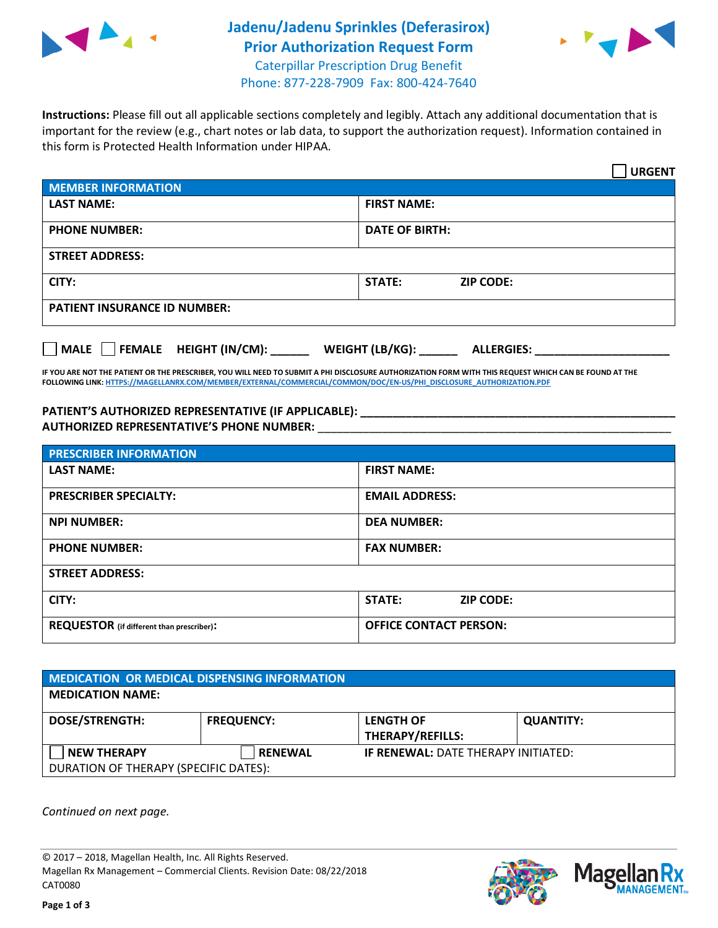

## **Jadenu/Jadenu Sprinkles (Deferasirox) Prior Authorization Request Form** Caterpillar Prescription Drug Benefit Phone: 877-228-7909 Fax: 800-424-7640



**Instructions:** Please fill out all applicable sections completely and legibly. Attach any additional documentation that is important for the review (e.g., chart notes or lab data, to support the authorization request). Information contained in this form is Protected Health Information under HIPAA.

|                                       | <b>URGENT</b>                        |  |
|---------------------------------------|--------------------------------------|--|
| <b>MEMBER INFORMATION</b>             |                                      |  |
| <b>LAST NAME:</b>                     | <b>FIRST NAME:</b>                   |  |
| <b>PHONE NUMBER:</b>                  | <b>DATE OF BIRTH:</b>                |  |
| <b>STREET ADDRESS:</b>                |                                      |  |
| CITY:                                 | <b>STATE:</b><br><b>ZIP CODE:</b>    |  |
| <b>PATIENT INSURANCE ID NUMBER:</b>   |                                      |  |
| FEMALE HEIGHT (IN/CM):<br><b>MALE</b> | WEIGHT (LB/KG):<br><b>ALLERGIES:</b> |  |

**IF YOU ARE NOT THE PATIENT OR THE PRESCRIBER, YOU WILL NEED TO SUBMIT A PHI DISCLOSURE AUTHORIZATION FORM WITH THIS REQUEST WHICH CAN BE FOUND AT THE FOLLOWING LINK[: HTTPS://MAGELLANRX.COM/MEMBER/EXTERNAL/COMMERCIAL/COMMON/DOC/EN-US/PHI\\_DISCLOSURE\\_AUTHORIZATION.PDF](https://magellanrx.com/member/external/commercial/common/doc/en-us/PHI_Disclosure_Authorization.pdf)**

PATIENT'S AUTHORIZED REPRESENTATIVE (IF APPLICABLE): **\_\_\_\_\_\_\_\_\_\_\_\_\_\_\_\_\_\_\_\_\_\_ AUTHORIZED REPRESENTATIVE'S PHONE NUMBER:** \_\_\_\_\_\_\_\_\_\_\_\_\_\_\_\_\_\_\_\_\_\_\_\_\_\_\_\_\_\_\_\_\_\_\_\_\_\_\_\_\_\_\_\_\_\_\_\_\_\_\_\_\_\_\_

| <b>PRESCRIBER INFORMATION</b>             |                                   |  |
|-------------------------------------------|-----------------------------------|--|
| <b>LAST NAME:</b>                         | <b>FIRST NAME:</b>                |  |
| <b>PRESCRIBER SPECIALTY:</b>              | <b>EMAIL ADDRESS:</b>             |  |
| <b>NPI NUMBER:</b>                        | <b>DEA NUMBER:</b>                |  |
| <b>PHONE NUMBER:</b>                      | <b>FAX NUMBER:</b>                |  |
| <b>STREET ADDRESS:</b>                    |                                   |  |
| CITY:                                     | <b>STATE:</b><br><b>ZIP CODE:</b> |  |
| REQUESTOR (if different than prescriber): | <b>OFFICE CONTACT PERSON:</b>     |  |

| <b>MEDICATION OR MEDICAL DISPENSING INFORMATION</b> |                   |                                            |                  |  |  |
|-----------------------------------------------------|-------------------|--------------------------------------------|------------------|--|--|
| <b>MEDICATION NAME:</b>                             |                   |                                            |                  |  |  |
| <b>DOSE/STRENGTH:</b>                               | <b>FREQUENCY:</b> | <b>LENGTH OF</b>                           | <b>QUANTITY:</b> |  |  |
|                                                     |                   | <b>THERAPY/REFILLS:</b>                    |                  |  |  |
| <b>NEW THERAPY</b>                                  | <b>RENEWAL</b>    | <b>IF RENEWAL: DATE THERAPY INITIATED:</b> |                  |  |  |
| DURATION OF THERAPY (SPECIFIC DATES):               |                   |                                            |                  |  |  |

*Continued on next page.*

© 2017 – 2018, Magellan Health, Inc. All Rights Reserved. Magellan Rx Management – Commercial Clients. Revision Date: 08/22/2018 CAT0080



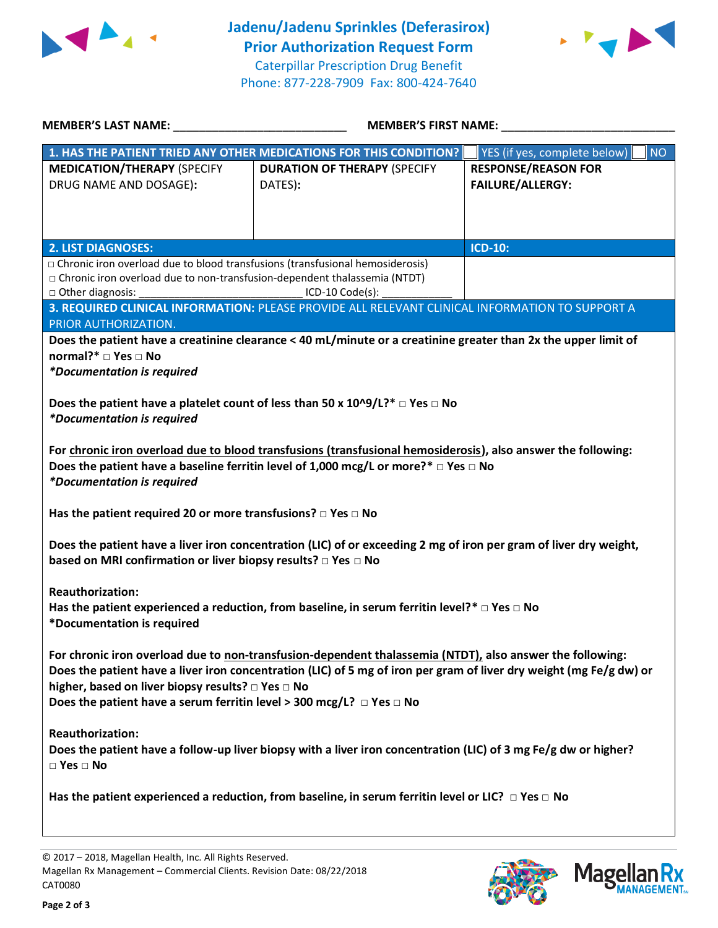



| <b>MEMBER'S LAST NAME:</b>                                                                                                                                                                                                                                                                                                                                              | <b>MEMBER'S FIRST NAME:</b>                                                                                                                                                                                    |                                                       |  |  |
|-------------------------------------------------------------------------------------------------------------------------------------------------------------------------------------------------------------------------------------------------------------------------------------------------------------------------------------------------------------------------|----------------------------------------------------------------------------------------------------------------------------------------------------------------------------------------------------------------|-------------------------------------------------------|--|--|
|                                                                                                                                                                                                                                                                                                                                                                         | 1. HAS THE PATIENT TRIED ANY OTHER MEDICATIONS FOR THIS CONDITION?                                                                                                                                             | <b>NO</b><br>YES (if yes, complete below)             |  |  |
| <b>MEDICATION/THERAPY (SPECIFY</b><br>DRUG NAME AND DOSAGE):                                                                                                                                                                                                                                                                                                            | <b>DURATION OF THERAPY (SPECIFY</b><br>DATES):                                                                                                                                                                 | <b>RESPONSE/REASON FOR</b><br><b>FAILURE/ALLERGY:</b> |  |  |
| <b>2. LIST DIAGNOSES:</b>                                                                                                                                                                                                                                                                                                                                               |                                                                                                                                                                                                                | <b>ICD-10:</b>                                        |  |  |
| □ Chronic iron overload due to blood transfusions (transfusional hemosiderosis)<br>□ Chronic iron overload due to non-transfusion-dependent thalassemia (NTDT)<br>□ Other diagnosis:<br>ICD-10 Code(s):                                                                                                                                                                 |                                                                                                                                                                                                                |                                                       |  |  |
| PRIOR AUTHORIZATION.                                                                                                                                                                                                                                                                                                                                                    | 3. REQUIRED CLINICAL INFORMATION: PLEASE PROVIDE ALL RELEVANT CLINICAL INFORMATION TO SUPPORT A                                                                                                                |                                                       |  |  |
| normal?* □ Yes □ No<br><i>*Documentation is required</i><br><i>*Documentation is required</i>                                                                                                                                                                                                                                                                           | Does the patient have a creatinine clearance < 40 mL/minute or a creatinine greater than 2x the upper limit of<br>Does the patient have a platelet count of less than 50 x $10^{10}$ /L?* $\Box$ Yes $\Box$ No |                                                       |  |  |
| For chronic iron overload due to blood transfusions (transfusional hemosiderosis), also answer the following:<br>Does the patient have a baseline ferritin level of 1,000 mcg/L or more?* $\Box$ Yes $\Box$ No<br><i>*Documentation is required</i>                                                                                                                     |                                                                                                                                                                                                                |                                                       |  |  |
| Has the patient required 20 or more transfusions? $\Box$ Yes $\Box$ No                                                                                                                                                                                                                                                                                                  |                                                                                                                                                                                                                |                                                       |  |  |
| Does the patient have a liver iron concentration (LIC) of or exceeding 2 mg of iron per gram of liver dry weight,<br>based on MRI confirmation or liver biopsy results? □ Yes □ No                                                                                                                                                                                      |                                                                                                                                                                                                                |                                                       |  |  |
| <b>Reauthorization:</b><br>*Documentation is required                                                                                                                                                                                                                                                                                                                   | Has the patient experienced a reduction, from baseline, in serum ferritin level?* $\Box$ Yes $\Box$ No                                                                                                         |                                                       |  |  |
| For chronic iron overload due to non-transfusion-dependent thalassemia (NTDT), also answer the following:<br>Does the patient have a liver iron concentration (LIC) of 5 mg of iron per gram of liver dry weight (mg Fe/g dw) or<br>higher, based on liver biopsy results? □ Yes □ No<br>Does the patient have a serum ferritin level > 300 mcg/L? $\Box$ Yes $\Box$ No |                                                                                                                                                                                                                |                                                       |  |  |
| <b>Reauthorization:</b><br>Does the patient have a follow-up liver biopsy with a liver iron concentration (LIC) of 3 mg Fe/g dw or higher?<br>$\square$ Yes $\square$ No                                                                                                                                                                                                |                                                                                                                                                                                                                |                                                       |  |  |
| Has the patient experienced a reduction, from baseline, in serum ferritin level or LIC? $\Box$ Yes $\Box$ No                                                                                                                                                                                                                                                            |                                                                                                                                                                                                                |                                                       |  |  |